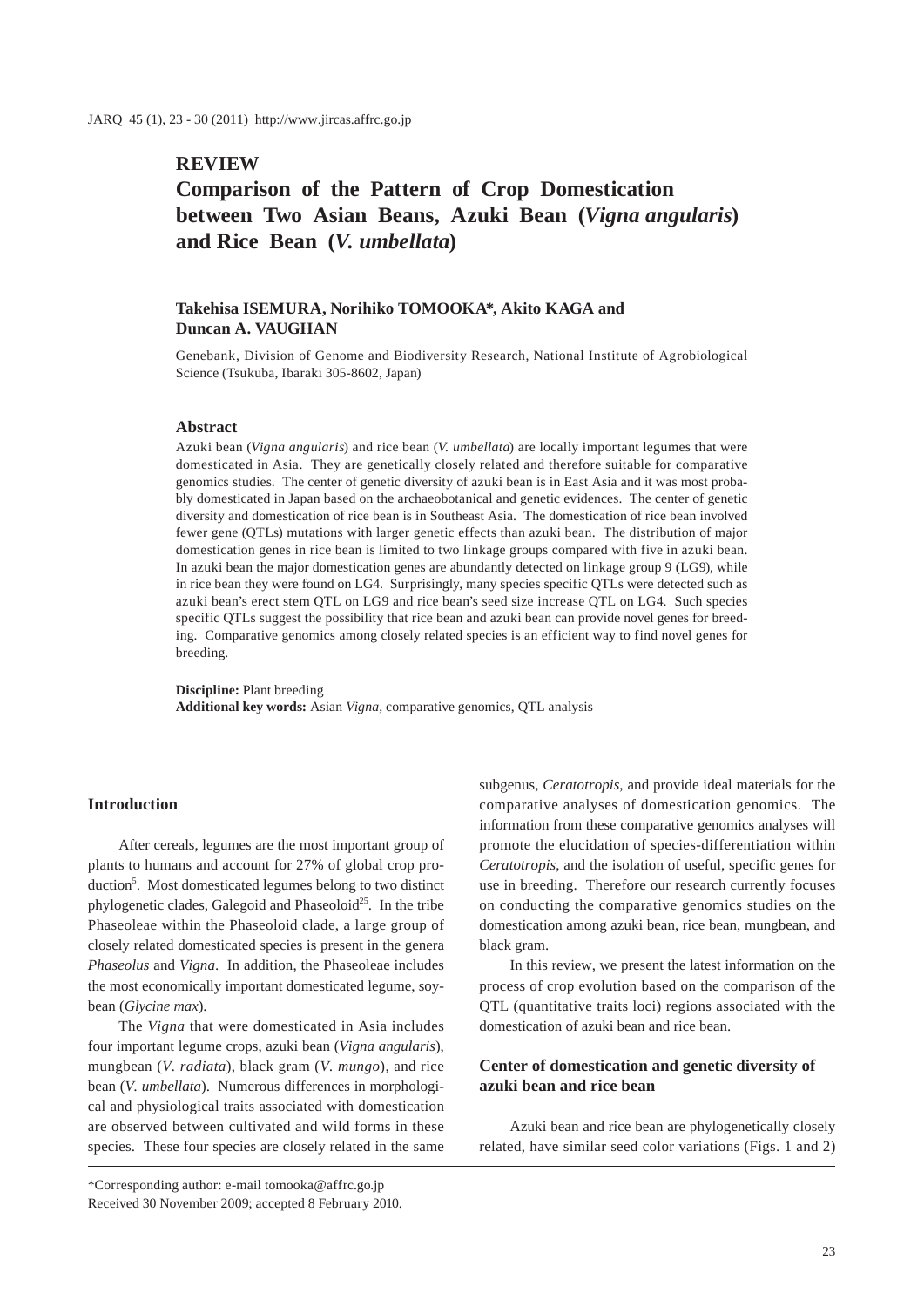## **REVIEW**

# **Comparison of the Pattern of Crop Domestication between Two Asian Beans, Azuki Bean (***Vigna angularis***) and Rice Bean (***V. umbellata***)**

## **Takehisa ISEMURA, Norihiko TOMOOKA\*, Akito KAGA and Duncan A. VAUGHAN**

Genebank, Division of Genome and Biodiversity Research, National Institute of Agrobiological Science (Tsukuba, Ibaraki 305-8602, Japan)

#### **Abstract**

Azuki bean (*Vigna angularis*) and rice bean (*V. umbellata*) are locally important legumes that were domesticated in Asia. They are genetically closely related and therefore suitable for comparative genomics studies. The center of genetic diversity of azuki bean is in East Asia and it was most probably domesticated in Japan based on the archaeobotanical and genetic evidences. The center of genetic diversity and domestication of rice bean is in Southeast Asia. The domestication of rice bean involved fewer gene (QTLs) mutations with larger genetic effects than azuki bean. The distribution of major domestication genes in rice bean is limited to two linkage groups compared with five in azuki bean. In azuki bean the major domestication genes are abundantly detected on linkage group 9 (LG9), while in rice bean they were found on LG4. Surprisingly, many species specific QTLs were detected such as azuki bean's erect stem QTL on LG9 and rice bean's seed size increase QTL on LG4. Such species specific QTLs suggest the possibility that rice bean and azuki bean can provide novel genes for breeding. Comparative genomics among closely related species is an efficient way to find novel genes for breeding.

**Discipline:** Plant breeding **Additional key words:** Asian *Vigna*, comparative genomics, QTL analysis

#### **Introduction**

After cereals, legumes are the most important group of plants to humans and account for 27% of global crop production<sup>5</sup>. Most domesticated legumes belong to two distinct phylogenetic clades, Galegoid and Phaseoloid<sup>25</sup>. In the tribe Phaseoleae within the Phaseoloid clade, a large group of closely related domesticated species is present in the genera *Phaseolus* and *Vigna*. In addition, the Phaseoleae includes the most economically important domesticated legume, soybean (*Glycine max*).

The *Vigna* that were domesticated in Asia includes four important legume crops, azuki bean (*Vigna angularis*), mungbean (*V. radiata*), black gram (*V. mungo*), and rice bean (*V. umbellata*). Numerous differences in morphological and physiological traits associated with domestication are observed between cultivated and wild forms in these species. These four species are closely related in the same

\*Corresponding author: e-mail tomooka@affrc.go.jp Received 30 November 2009; accepted 8 February 2010.

subgenus, *Ceratotropis*, and provide ideal materials for the comparative analyses of domestication genomics. The information from these comparative genomics analyses will promote the elucidation of species-differentiation within *Ceratotropis*, and the isolation of useful, specific genes for use in breeding. Therefore our research currently focuses on conducting the comparative genomics studies on the domestication among azuki bean, rice bean, mungbean, and black gram.

In this review, we present the latest information on the process of crop evolution based on the comparison of the QTL (quantitative traits loci) regions associated with the domestication of azuki bean and rice bean.

## **Center of domestication and genetic diversity of azuki bean and rice bean**

Azuki bean and rice bean are phylogenetically closely related, have similar seed color variations (Figs. 1 and 2)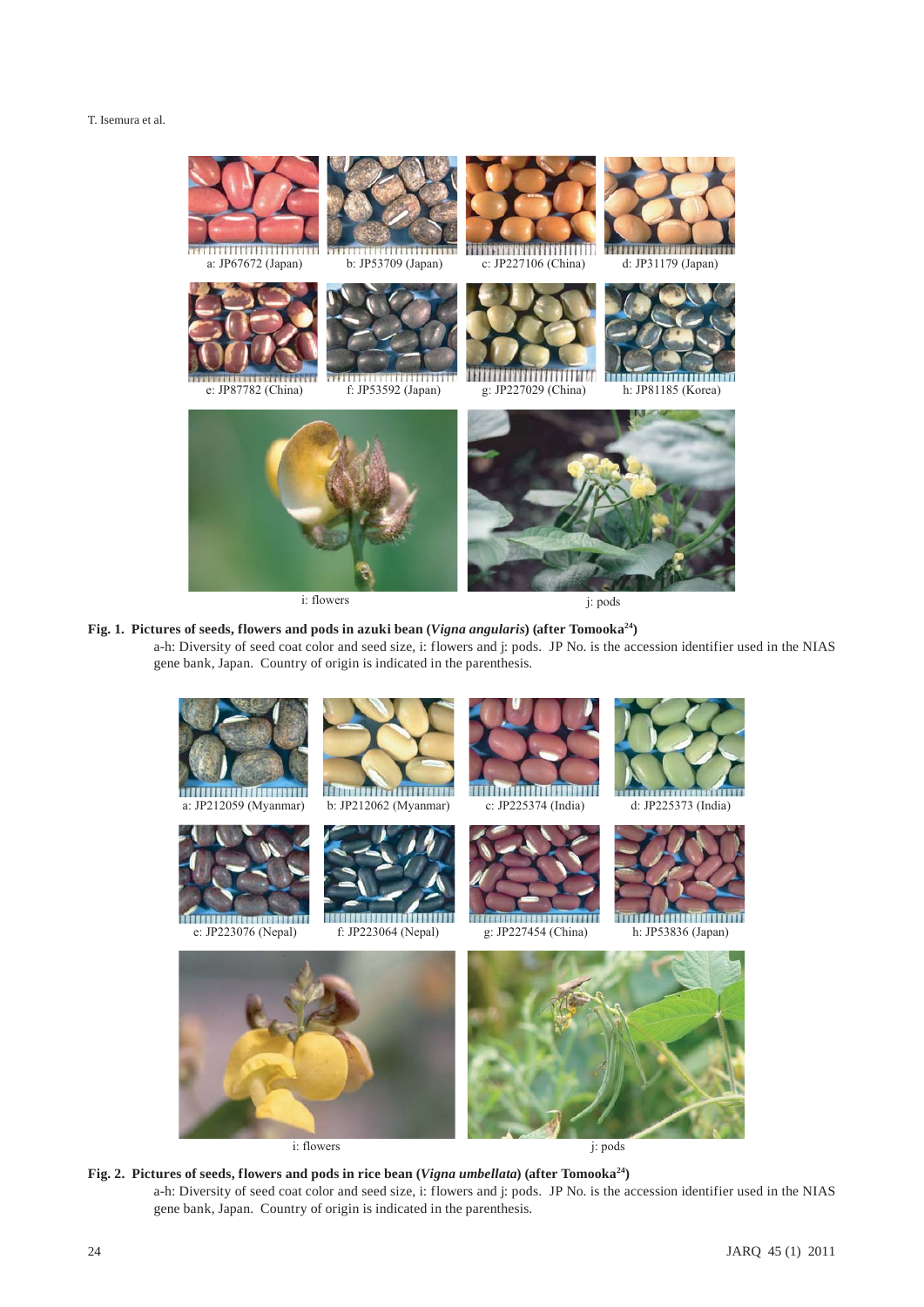

i: flowers j: pods

# Fig. 1. Pictures of seeds, flowers and pods in azuki bean (*Vigna angularis*) (after Tomooka<sup>24</sup>)

a-h: Diversity of seed coat color and seed size, i: flowers and j: pods. JP No. is the accession identifier used in the NIAS gene bank, Japan. Country of origin is indicated in the parenthesis.



Fig. 2. Pictures of seeds, flowers and pods in rice bean (*Vigna umbellata*) (after Tomooka<sup>24</sup>) a-h: Diversity of seed coat color and seed size, i: flowers and j: pods. JP No. is the accession identifier used in the NIAS gene bank, Japan. Country of origin is indicated in the parenthesis.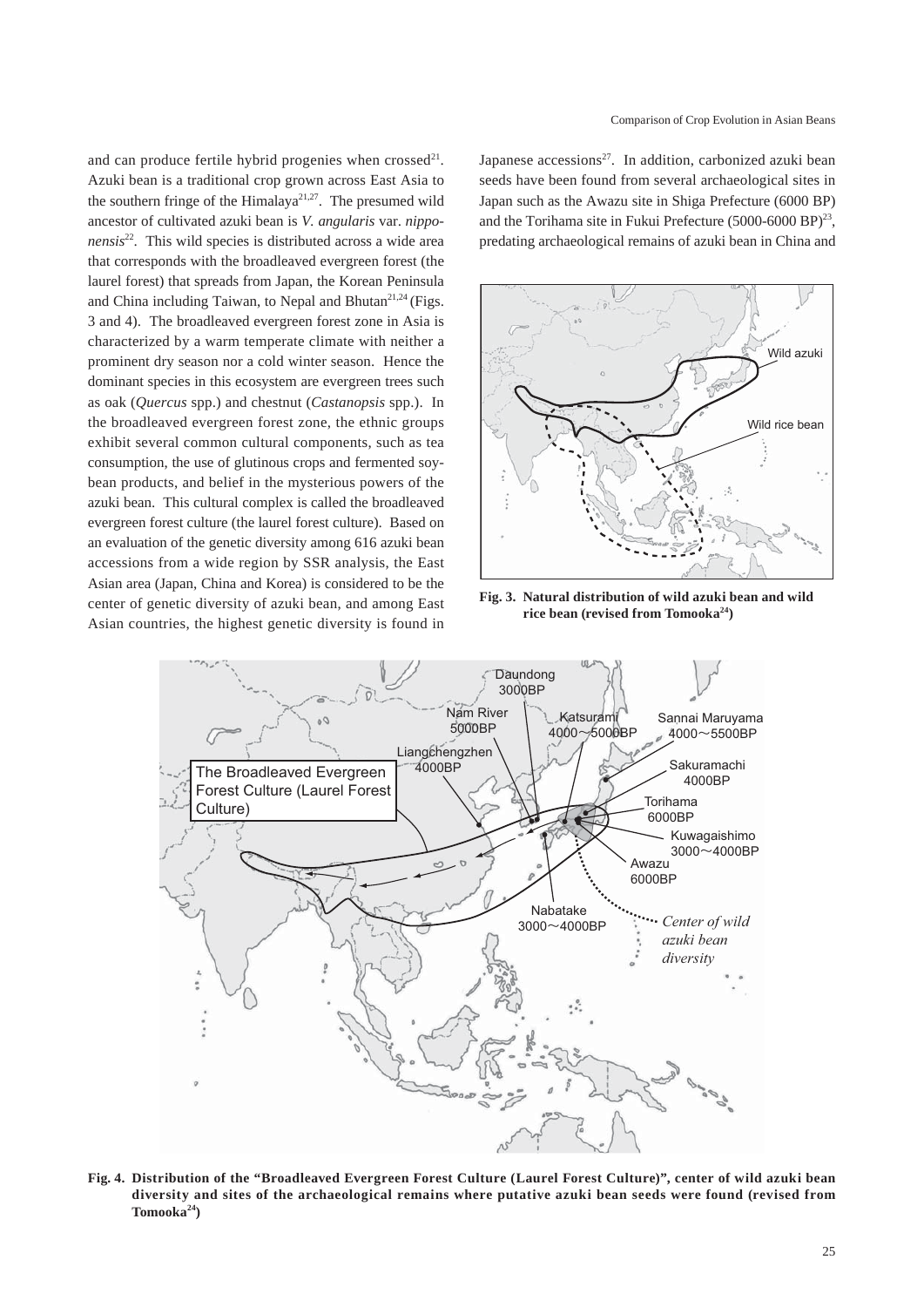and can produce fertile hybrid progenies when crossed<sup>21</sup>. Azuki bean is a traditional crop grown across East Asia to the southern fringe of the Himalaya<sup>21,27</sup>. The presumed wild ancestor of cultivated azuki bean is *V. angularis* var. *nipponensis*22. This wild species is distributed across a wide area that corresponds with the broadleaved evergreen forest (the laurel forest) that spreads from Japan, the Korean Peninsula and China including Taiwan, to Nepal and Bhutan<sup>21,24</sup> (Figs. 3 and 4). The broadleaved evergreen forest zone in Asia is characterized by a warm temperate climate with neither a prominent dry season nor a cold winter season. Hence the dominant species in this ecosystem are evergreen trees such as oak (*Quercus* spp.) and chestnut (*Castanopsis* spp.). In the broadleaved evergreen forest zone, the ethnic groups exhibit several common cultural components, such as tea consumption, the use of glutinous crops and fermented soybean products, and belief in the mysterious powers of the azuki bean. This cultural complex is called the broadleaved evergreen forest culture (the laurel forest culture). Based on an evaluation of the genetic diversity among 616 azuki bean accessions from a wide region by SSR analysis, the East Asian area (Japan, China and Korea) is considered to be the center of genetic diversity of azuki bean, and among East Asian countries, the highest genetic diversity is found in

Japanese  $accessions^{27}$ . In addition, carbonized azuki bean seeds have been found from several archaeological sites in Japan such as the Awazu site in Shiga Prefecture (6000 BP) and the Torihama site in Fukui Prefecture (5000-6000 BP)<sup>23</sup>, predating archaeological remains of azuki bean in China and



**Fig. 3. Natural distribution of wild azuki bean and wild**  rice bean (revised from Tomooka<sup>24</sup>)



**Fig. 4. Distribution of the "Broadleaved Evergreen Forest Culture (Laurel Forest Culture)", center of wild azuki bean diversity and sites of the archaeological remains where putative azuki bean seeds were found (revised from Tomooka24)**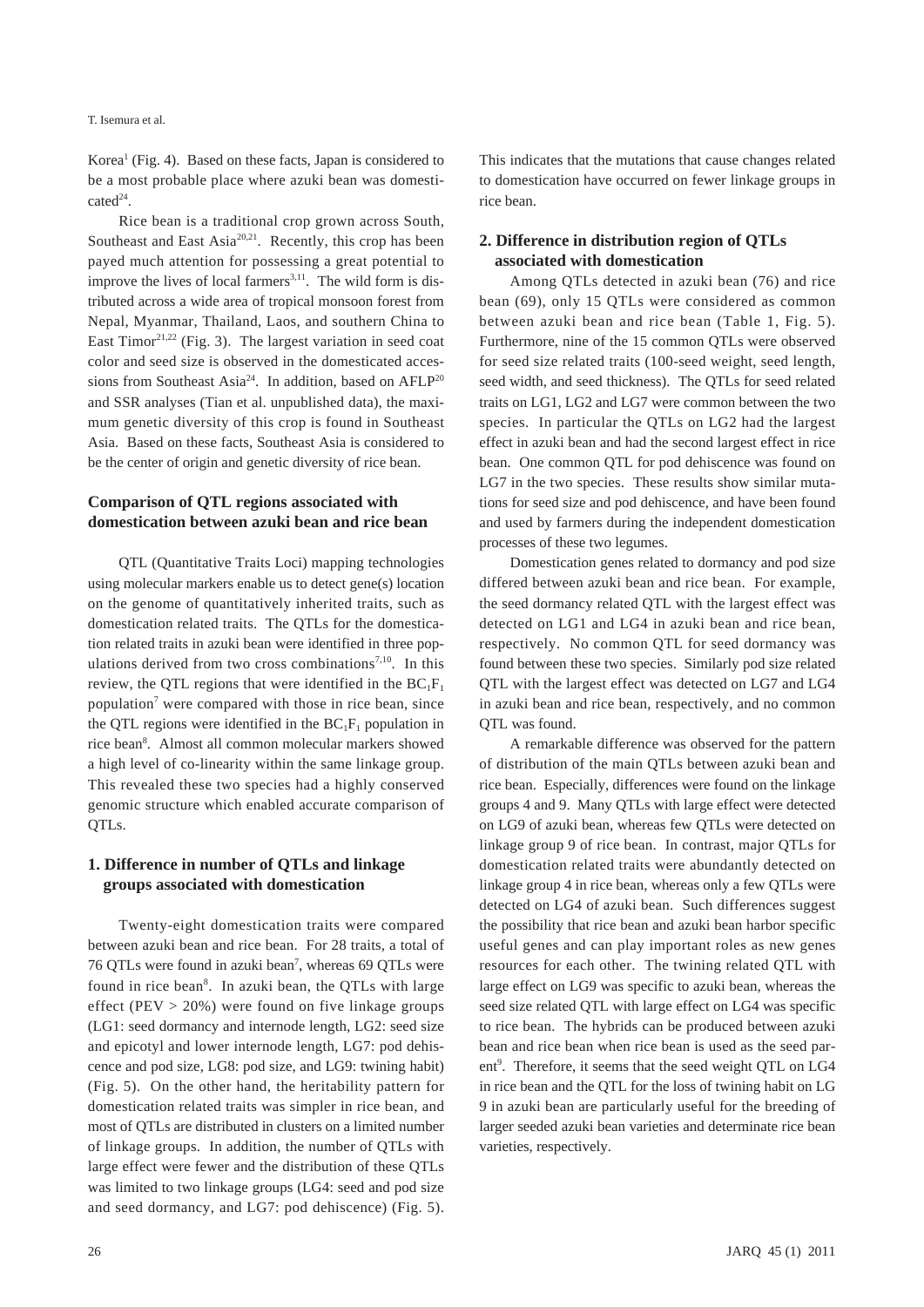Korea<sup>1</sup> (Fig. 4). Based on these facts, Japan is considered to be a most probable place where azuki bean was domesti $cated^{24}$ .

Rice bean is a traditional crop grown across South, Southeast and East Asia<sup>20,21</sup>. Recently, this crop has been payed much attention for possessing a great potential to improve the lives of local farmers<sup>3,11</sup>. The wild form is distributed across a wide area of tropical monsoon forest from Nepal, Myanmar, Thailand, Laos, and southern China to East Timor<sup>21,22</sup> (Fig. 3). The largest variation in seed coat color and seed size is observed in the domesticated accessions from Southeast Asia<sup>24</sup>. In addition, based on AFLP<sup>20</sup> and SSR analyses (Tian et al. unpublished data), the maximum genetic diversity of this crop is found in Southeast Asia. Based on these facts, Southeast Asia is considered to be the center of origin and genetic diversity of rice bean.

## **Comparison of QTL regions associated with domestication between azuki bean and rice bean**

QTL (Quantitative Traits Loci) mapping technologies using molecular markers enable us to detect gene(s) location on the genome of quantitatively inherited traits, such as domestication related traits. The QTLs for the domestication related traits in azuki bean were identified in three populations derived from two cross combinations<sup>7,10</sup>. In this review, the QTL regions that were identified in the  $BC_1F_1$ population<sup>7</sup> were compared with those in rice bean, since the OTL regions were identified in the  $BC_1F_1$  population in rice bean<sup>8</sup>. Almost all common molecular markers showed a high level of co-linearity within the same linkage group. This revealed these two species had a highly conserved genomic structure which enabled accurate comparison of QTLs.

## **1. Difference in number of QTLs and linkage groups associated with domestication**

Twenty-eight domestication traits were compared between azuki bean and rice bean. For 28 traits, a total of 76 QTLs were found in azuki bean<sup>7</sup>, whereas 69 QTLs were found in rice bean<sup>8</sup>. In azuki bean, the QTLs with large effect (PEV  $> 20\%$ ) were found on five linkage groups (LG1: seed dormancy and internode length, LG2: seed size and epicotyl and lower internode length, LG7: pod dehiscence and pod size, LG8: pod size, and LG9: twining habit) (Fig. 5). On the other hand, the heritability pattern for domestication related traits was simpler in rice bean, and most of QTLs are distributed in clusters on a limited number of linkage groups. In addition, the number of QTLs with large effect were fewer and the distribution of these QTLs was limited to two linkage groups (LG4: seed and pod size and seed dormancy, and LG7: pod dehiscence) (Fig. 5).

This indicates that the mutations that cause changes related to domestication have occurred on fewer linkage groups in rice bean.

## **2. Difference in distribution region of QTLs associated with domestication**

Among QTLs detected in azuki bean (76) and rice bean (69), only 15 QTLs were considered as common between azuki bean and rice bean (Table 1, Fig. 5). Furthermore, nine of the 15 common QTLs were observed for seed size related traits (100-seed weight, seed length, seed width, and seed thickness). The QTLs for seed related traits on LG1, LG2 and LG7 were common between the two species. In particular the QTLs on LG2 had the largest effect in azuki bean and had the second largest effect in rice bean. One common QTL for pod dehiscence was found on LG7 in the two species. These results show similar mutations for seed size and pod dehiscence, and have been found and used by farmers during the independent domestication processes of these two legumes.

Domestication genes related to dormancy and pod size differed between azuki bean and rice bean. For example, the seed dormancy related QTL with the largest effect was detected on LG1 and LG4 in azuki bean and rice bean, respectively. No common QTL for seed dormancy was found between these two species. Similarly pod size related QTL with the largest effect was detected on LG7 and LG4 in azuki bean and rice bean, respectively, and no common QTL was found.

A remarkable difference was observed for the pattern of distribution of the main QTLs between azuki bean and rice bean. Especially, differences were found on the linkage groups 4 and 9. Many QTLs with large effect were detected on LG9 of azuki bean, whereas few QTLs were detected on linkage group 9 of rice bean. In contrast, major QTLs for domestication related traits were abundantly detected on linkage group 4 in rice bean, whereas only a few QTLs were detected on LG4 of azuki bean. Such differences suggest the possibility that rice bean and azuki bean harbor specific useful genes and can play important roles as new genes resources for each other. The twining related QTL with large effect on LG9 was specific to azuki bean, whereas the seed size related QTL with large effect on LG4 was specific to rice bean. The hybrids can be produced between azuki bean and rice bean when rice bean is used as the seed parent<sup>9</sup>. Therefore, it seems that the seed weight QTL on LG4 in rice bean and the QTL for the loss of twining habit on LG 9 in azuki bean are particularly useful for the breeding of larger seeded azuki bean varieties and determinate rice bean varieties, respectively.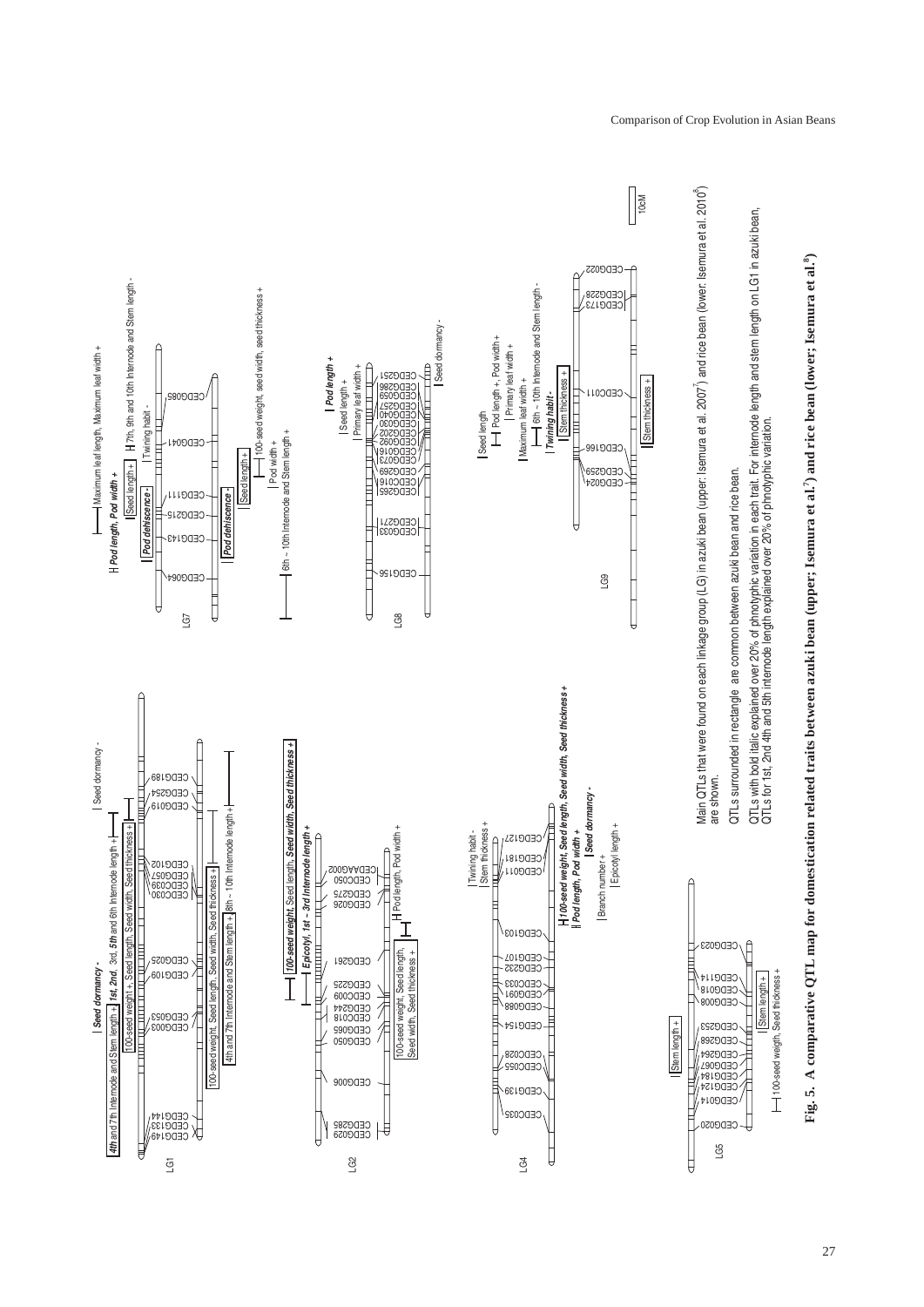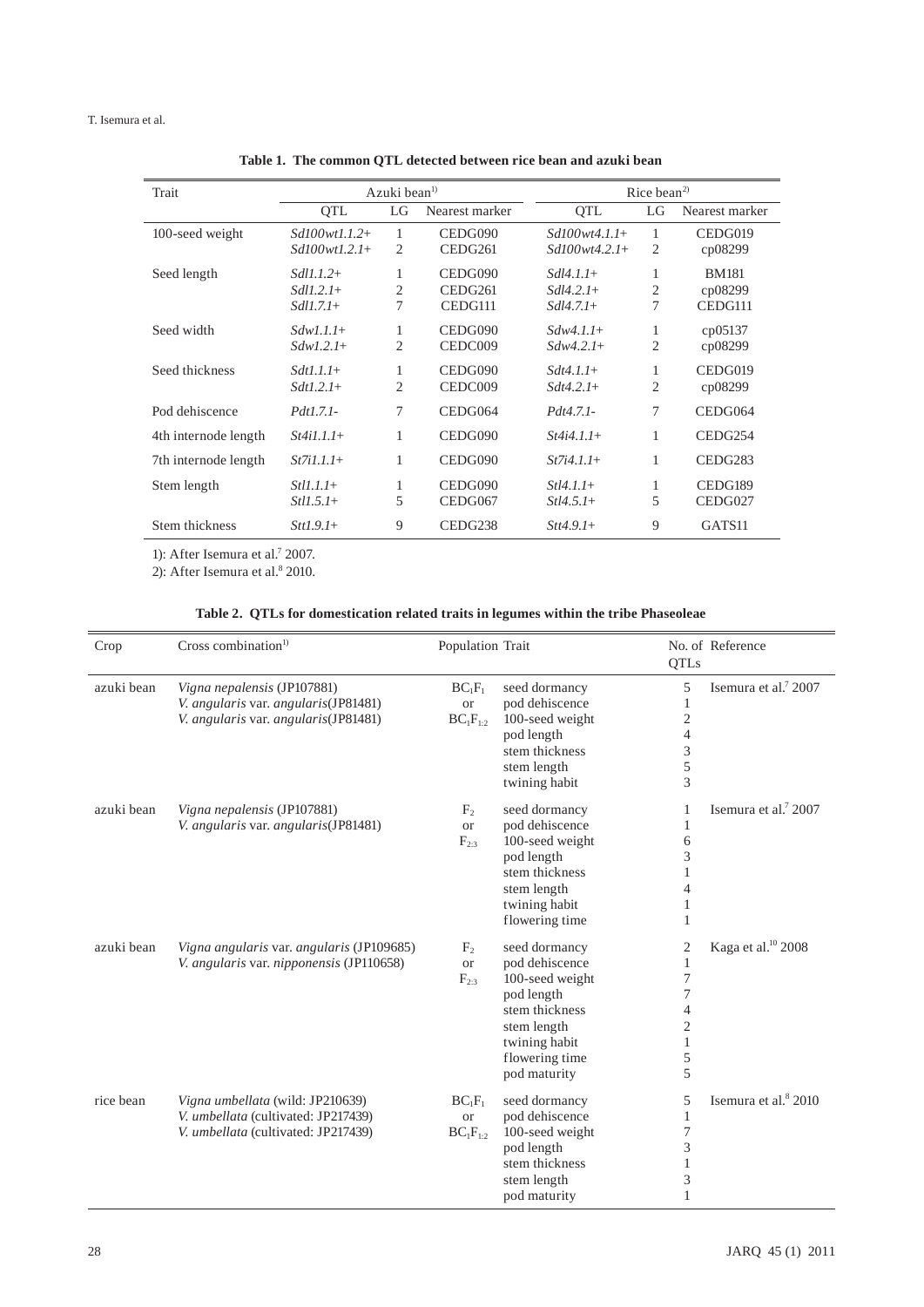#### T. Isemura et al.

| Trait                | Azuki bean <sup><math>1</math></sup> |                | Rice bean <sup>2)</sup> |                 |        |                     |
|----------------------|--------------------------------------|----------------|-------------------------|-----------------|--------|---------------------|
|                      | <b>OTL</b>                           | LG             | Nearest marker          | <b>OTL</b>      | LG     | Nearest marker      |
| 100-seed weight      | $Sd100wt1.1.2+$                      | 1              | CEDG090                 | $Sd100wt4.1.1+$ | 1      | CEDG019             |
|                      | $Sd100wt1.2.1+$                      | 2              | CEDG261                 | $Sd100wt4.2.1+$ | 2      | cp08299             |
| Seed length          | $Sdl1.1.2+$                          | 1              | CEDG090                 | $Sdl4$ 1.1+     | 1      | <b>BM181</b>        |
|                      | $Sdll$ .2.1+                         | 2              | CEDG261                 | $Sdl4.2.1+$     | 2      | cp08299             |
|                      | $Sdl1.7.1+$                          | 7              | CEDG111                 | $Sdl4.7.1+$     | $\tau$ | CEDG111             |
| Seed width           | $Sdw1.1.1+$                          | 1              | CEDG090                 | $Sdw4.1.1+$     | 1      | cp05137             |
|                      | $SdwI.2.1+$                          | $\overline{2}$ | CEDC009                 | $Sdw4.2.1+$     | 2      | cp08299             |
| Seed thickness       | $Sdt1.1.1+$                          | 1              | CEDG090                 | $Sdt4 11+$      | 1      | CEDG019             |
|                      | $Sdt1.2.1+$                          | $\overline{2}$ | CEDC009                 | $Sdt4.2.1+$     | 2      | cp08299             |
| Pod dehiscence       | <i>Pdt1.7.1-</i>                     | 7              | CEDG064                 | $Pdt4.7.1-$     | 7      | CEDG064             |
| 4th internode length | $St4i1.1.1+$                         | 1              | CEDG090                 | $St4i4.1.1+$    | 1      | CEDG <sub>254</sub> |
| 7th internode length | $St7i1.1.1+$                         | 1              | CEDG090                 | $St7i4.1.1+$    | 1      | CEDG <sub>283</sub> |
| Stem length          | $Stl1.1.1+$                          | 1              | CEDG090                 | $Stl4.1.1+$     | 1      | CEDG189             |
|                      | $St11.5.1+$                          | 5              | CEDG067                 | $Stl4.5.1+$     | 5      | CEDG027             |
| Stem thickness       | $Stt1.9.1+$                          | 9              | CEDG <sub>238</sub>     | $Stt4.9.1+$     | 9      | GATS11              |

**Table 1. The common QTL detected between rice bean and azuki bean**

1): After Isemura et al.<sup>7</sup> 2007.

2): After Isemura et al.<sup>8</sup> 2010.

|  |  |  |  | Table 2. QTLs for domestication related traits in legumes within the tribe Phaseoleae |
|--|--|--|--|---------------------------------------------------------------------------------------|
|--|--|--|--|---------------------------------------------------------------------------------------|

| Crop       | Cross combination $1$                                                                                          | Population Trait                           |                                                                                                                                                      | QTLs                                                                                          | No. of Reference                 |
|------------|----------------------------------------------------------------------------------------------------------------|--------------------------------------------|------------------------------------------------------------------------------------------------------------------------------------------------------|-----------------------------------------------------------------------------------------------|----------------------------------|
| azuki bean | Vigna nepalensis (JP107881)<br>V. angularis var. angularis(JP81481)<br>V. angularis var. angularis(JP81481)    | $BC_1F_1$<br><b>or</b><br>$BC_1F_{1:2}$    | seed dormancy<br>pod dehiscence<br>100-seed weight<br>pod length<br>stem thickness<br>stem length<br>twining habit                                   | 5<br>1<br>$\overline{c}$<br>$\overline{4}$<br>3<br>5<br>3                                     | Isemura et al. <sup>7</sup> 2007 |
| azuki bean | Vigna nepalensis (JP107881)<br>V. angularis var. angularis(JP81481)                                            | F <sub>2</sub><br><b>or</b><br>$F_{2:3}$   | seed dormancy<br>pod dehiscence<br>100-seed weight<br>pod length<br>stem thickness<br>stem length<br>twining habit<br>flowering time                 | 1<br>1<br>6<br>3<br>1<br>$\overline{4}$<br>1<br>1                                             | Isemura et al. $72007$           |
| azuki bean | Vigna angularis var. angularis (JP109685)<br>V. angularis var. nipponensis (JP110658)                          | $F_{2}$<br><b>or</b><br>$\mathrm{F}_{2:3}$ | seed dormancy<br>pod dehiscence<br>100-seed weight<br>pod length<br>stem thickness<br>stem length<br>twining habit<br>flowering time<br>pod maturity | 2<br>1<br>$\boldsymbol{7}$<br>7<br>$\overline{4}$<br>$\overline{2}$<br>$\mathbf{1}$<br>5<br>5 | Kaga et al. <sup>10</sup> 2008   |
| rice bean  | Vigna umbellata (wild: JP210639)<br>V. umbellata (cultivated: JP217439)<br>V. umbellata (cultivated: JP217439) | $BC_1F_1$<br><b>or</b><br>$BC_1F_{1:2}$    | seed dormancy<br>pod dehiscence<br>100-seed weight<br>pod length<br>stem thickness<br>stem length<br>pod maturity                                    | 5<br>1<br>$\boldsymbol{7}$<br>3<br>$\mathbf{1}$<br>3<br>1                                     | Isemura et al. <sup>8</sup> 2010 |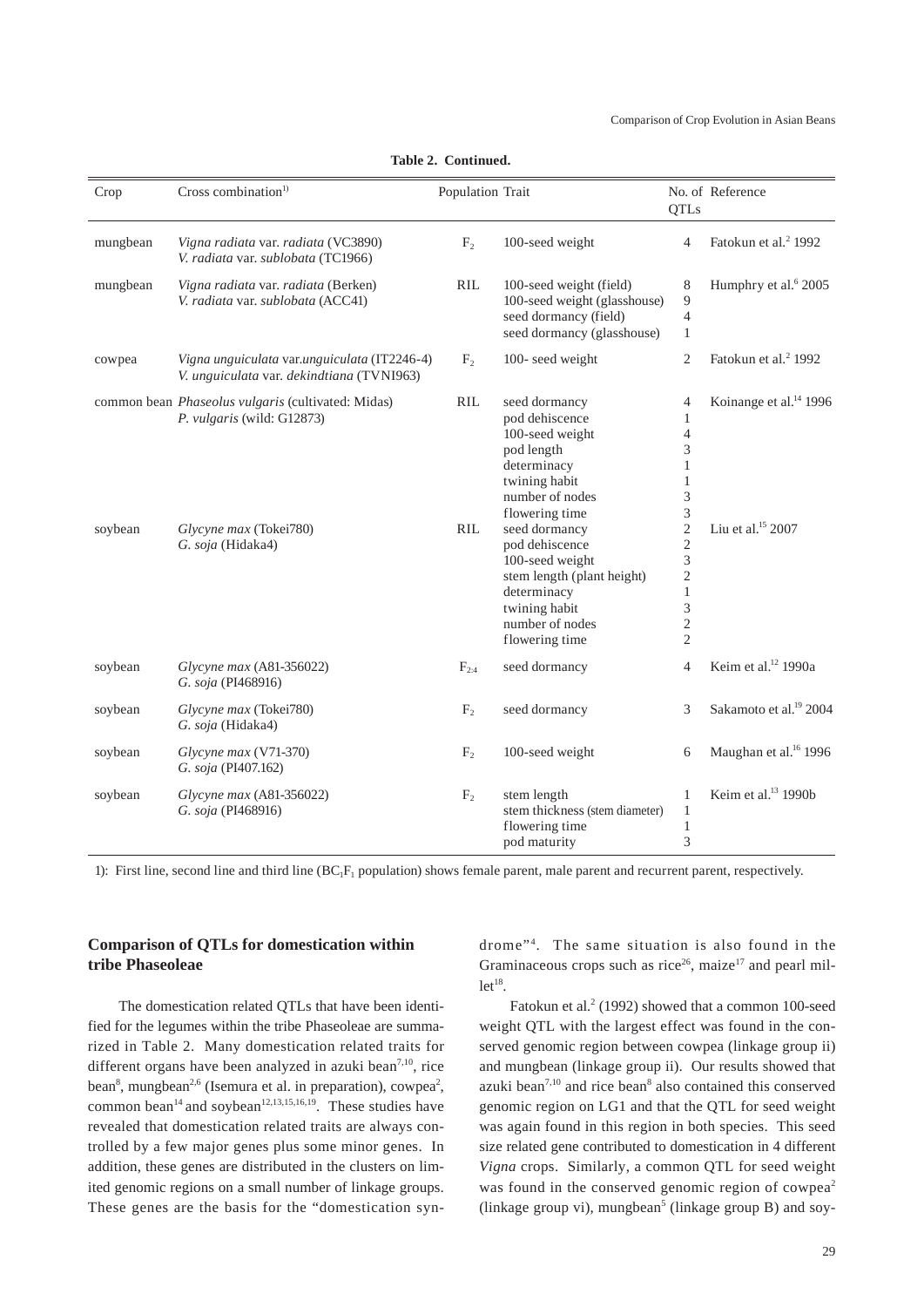| Crop     | Cross combination <sup>1)</sup>                                                                                                 | Population Trait |                                                                                                                                                                                                                                                                                                | <b>QTLs</b>                                                                                                                                                                                 | No. of Reference                                                    |
|----------|---------------------------------------------------------------------------------------------------------------------------------|------------------|------------------------------------------------------------------------------------------------------------------------------------------------------------------------------------------------------------------------------------------------------------------------------------------------|---------------------------------------------------------------------------------------------------------------------------------------------------------------------------------------------|---------------------------------------------------------------------|
| mungbean | Vigna radiata var. radiata (VC3890)<br>V. radiata var. sublobata (TC1966)                                                       | F <sub>2</sub>   | 100-seed weight                                                                                                                                                                                                                                                                                | $\overline{4}$                                                                                                                                                                              | Fatokun et al. <sup>2</sup> 1992                                    |
| mungbean | Vigna radiata var. radiata (Berken)<br>V. radiata var. sublobata (ACC41)                                                        | <b>RIL</b>       | 100-seed weight (field)<br>100-seed weight (glasshouse)<br>seed dormancy (field)<br>seed dormancy (glasshouse)                                                                                                                                                                                 | 8<br>9<br>$\overline{4}$<br>1                                                                                                                                                               | Humphry et al. <sup>6</sup> 2005                                    |
| cowpea   | Vigna unguiculata var.unguiculata (IT2246-4)<br>V. unguiculata var. dekindtiana (TVNI963)                                       | F <sub>2</sub>   | 100-seed weight                                                                                                                                                                                                                                                                                | $\overline{2}$                                                                                                                                                                              | Fatokun et al. <sup>2</sup> 1992                                    |
| soybean  | common bean Phaseolus vulgaris (cultivated: Midas)<br>P. vulgaris (wild: G12873)<br>Glycyne max (Tokei780)<br>G. soja (Hidaka4) | RIL<br>RIL       | seed dormancy<br>pod dehiscence<br>100-seed weight<br>pod length<br>determinacy<br>twining habit<br>number of nodes<br>flowering time<br>seed dormancy<br>pod dehiscence<br>100-seed weight<br>stem length (plant height)<br>determinacy<br>twining habit<br>number of nodes<br>flowering time | 4<br>1<br>$\overline{4}$<br>3<br>$\mathbf{1}$<br>$\mathbf{1}$<br>3<br>3<br>$\overline{c}$<br>$\overline{c}$<br>3<br>$\overline{c}$<br>$\mathbf{1}$<br>3<br>$\overline{c}$<br>$\overline{2}$ | Koinange et al. <sup>14</sup> 1996<br>Liu et al. <sup>15</sup> 2007 |
| soybean  | Glycyne max (A81-356022)<br>G. soja (PI468916)                                                                                  | $F_{2:4}$        | seed dormancy                                                                                                                                                                                                                                                                                  | $\overline{4}$                                                                                                                                                                              | Keim et al. <sup>12</sup> 1990a                                     |
| soybean  | Glycyne max (Tokei780)<br>G. soja (Hidaka4)                                                                                     | F <sub>2</sub>   | seed dormancy                                                                                                                                                                                                                                                                                  | 3                                                                                                                                                                                           | Sakamoto et al. <sup>19</sup> 2004                                  |
| soybean  | Glycyne max (V71-370)<br>G. soja (PI407.162)                                                                                    | F <sub>2</sub>   | 100-seed weight                                                                                                                                                                                                                                                                                | 6                                                                                                                                                                                           | Maughan et al. <sup>16</sup> 1996                                   |
| soybean  | Glycyne max (A81-356022)<br>G. soja (PI468916)                                                                                  | F <sub>2</sub>   | stem length<br>stem thickness (stem diameter)<br>flowering time<br>pod maturity                                                                                                                                                                                                                | $\mathbf{1}$<br>$\mathbf{1}$<br>$\mathbf{1}$<br>3                                                                                                                                           | Keim et al. <sup>13</sup> 1990b                                     |

**Table 2. Continued.**

1): First line, second line and third line  $(BC<sub>1</sub>F<sub>1</sub>$  population) shows female parent, male parent and recurrent parent, respectively.

## **Comparison of QTLs for domestication within tribe Phaseoleae**

The domestication related QTLs that have been identified for the legumes within the tribe Phaseoleae are summarized in Table 2. Many domestication related traits for different organs have been analyzed in azuki bean<sup>7,10</sup>, rice bean<sup>8</sup>, mungbean<sup>2,6</sup> (Isemura et al. in preparation), cowpea<sup>2</sup>, common bean<sup>14</sup> and soybean<sup>12,13,15,16,19</sup>. These studies have revealed that domestication related traits are always controlled by a few major genes plus some minor genes. In addition, these genes are distributed in the clusters on limited genomic regions on a small number of linkage groups. These genes are the basis for the "domestication syn-

drome"<sup>4</sup>. The same situation is also found in the Graminaceous crops such as rice<sup>26</sup>, maize<sup>17</sup> and pearl mil $let<sup>18</sup>$ .

Fatokun et al.<sup>2</sup> (1992) showed that a common 100-seed weight QTL with the largest effect was found in the conserved genomic region between cowpea (linkage group ii) and mungbean (linkage group ii). Our results showed that azuki bean $7,10$  and rice bean $8$  also contained this conserved genomic region on LG1 and that the QTL for seed weight was again found in this region in both species. This seed size related gene contributed to domestication in 4 different *Vigna* crops. Similarly, a common QTL for seed weight was found in the conserved genomic region of cowpea<sup>2</sup> (linkage group vi), mungbean<sup>5</sup> (linkage group B) and soy